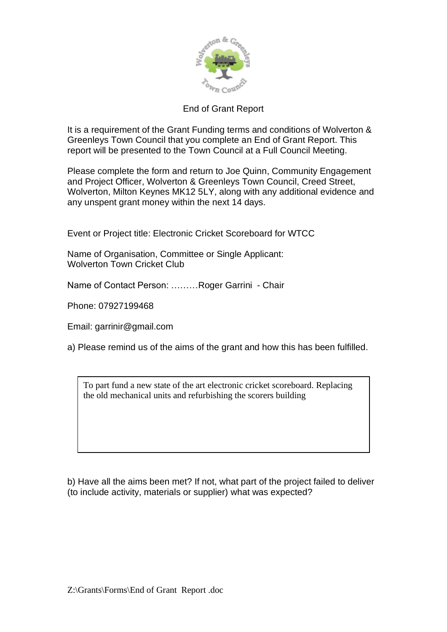

## End of Grant Report

It is a requirement of the Grant Funding terms and conditions of Wolverton & Greenleys Town Council that you complete an End of Grant Report. This report will be presented to the Town Council at a Full Council Meeting.

Please complete the form and return to Joe Quinn, Community Engagement and Project Officer, Wolverton & Greenleys Town Council, Creed Street, Wolverton, Milton Keynes MK12 5LY, along with any additional evidence and any unspent grant money within the next 14 days.

Event or Project title: Electronic Cricket Scoreboard for WTCC

Name of Organisation, Committee or Single Applicant: Wolverton Town Cricket Club

Name of Contact Person: ………Roger Garrini - Chair

Phone: 07927199468

Email: garrinir@gmail.com

a) Please remind us of the aims of the grant and how this has been fulfilled.

To part fund a new state of the art electronic cricket scoreboard. Replacing the old mechanical units and refurbishing the scorers building

b) Have all the aims been met? If not, what part of the project failed to deliver (to include activity, materials or supplier) what was expected?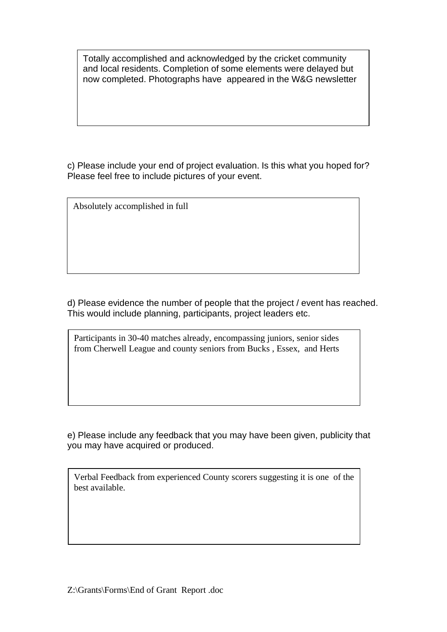Totally accomplished and acknowledged by the cricket community and local residents. Completion of some elements were delayed but now completed. Photographs have appeared in the W&G newsletter

c) Please include your end of project evaluation. Is this what you hoped for? Please feel free to include pictures of your event.

Absolutely accomplished in full

d) Please evidence the number of people that the project / event has reached. This would include planning, participants, project leaders etc.

Participants in 30-40 matches already, encompassing juniors, senior sides from Cherwell League and county seniors from Bucks , Essex, and Herts

e) Please include any feedback that you may have been given, publicity that you may have acquired or produced.

Verbal Feedback from experienced County scorers suggesting it is one of the best available.